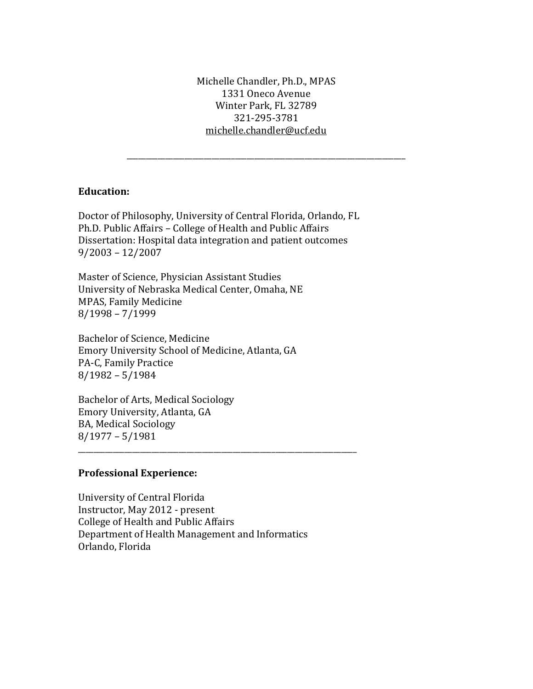Michelle Chandler, Ph.D., MPAS 1331 Oneco Avenue Winter Park, FL 32789 321-295-3781 [michelle.chandler@ucf.edu](mailto:michelle.chandler@ucf.edu)

\_\_\_\_\_\_\_\_\_\_\_\_\_\_\_\_\_\_\_\_\_\_\_\_\_\_\_\_\_\_\_\_\_\_\_\_\_\_\_\_\_\_\_\_\_\_\_\_\_\_\_\_\_\_\_\_\_\_\_\_\_\_\_\_\_\_\_\_\_\_\_\_

## **Education:**

Doctor of Philosophy, University of Central Florida, Orlando, FL Ph.D. Public Affairs – College of Health and Public Affairs Dissertation: Hospital data integration and patient outcomes 9/2003 – 12/2007

Master of Science, Physician Assistant Studies University of Nebraska Medical Center, Omaha, NE MPAS, Family Medicine 8/1998 – 7/1999

Bachelor of Science, Medicine Emory University School of Medicine, Atlanta, GA PA-C, Family Practice 8/1982 – 5/1984

Bachelor of Arts, Medical Sociology Emory University, Atlanta, GA BA, Medical Sociology 8/1977 – 5/1981

## **Professional Experience:**

University of Central Florida Instructor, May 2012 - present College of Health and Public Affairs Department of Health Management and Informatics Orlando, Florida

\_\_\_\_\_\_\_\_\_\_\_\_\_\_\_\_\_\_\_\_\_\_\_\_\_\_\_\_\_\_\_\_\_\_\_\_\_\_\_\_\_\_\_\_\_\_\_\_\_\_\_\_\_\_\_\_\_\_\_\_\_\_\_\_\_\_\_\_\_\_\_\_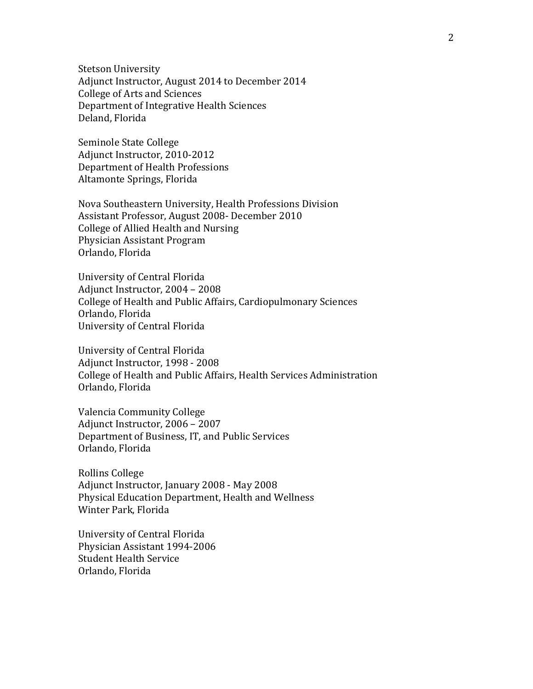Stetson University Adjunct Instructor, August 2014 to December 2014 College of Arts and Sciences Department of Integrative Health Sciences Deland, Florida

Seminole State College Adjunct Instructor, 2010-2012 Department of Health Professions Altamonte Springs, Florida

Nova Southeastern University, Health Professions Division Assistant Professor, August 2008- December 2010 College of Allied Health and Nursing Physician Assistant Program Orlando, Florida

University of Central Florida Adjunct Instructor, 2004 – 2008 College of Health and Public Affairs, Cardiopulmonary Sciences Orlando, Florida University of Central Florida

University of Central Florida Adjunct Instructor, 1998 - 2008 College of Health and Public Affairs, Health Services Administration Orlando, Florida

Valencia Community College Adjunct Instructor, 2006 – 2007 Department of Business, IT, and Public Services Orlando, Florida

Rollins College Adjunct Instructor, January 2008 - May 2008 Physical Education Department, Health and Wellness Winter Park, Florida

University of Central Florida Physician Assistant 1994-2006 Student Health Service Orlando, Florida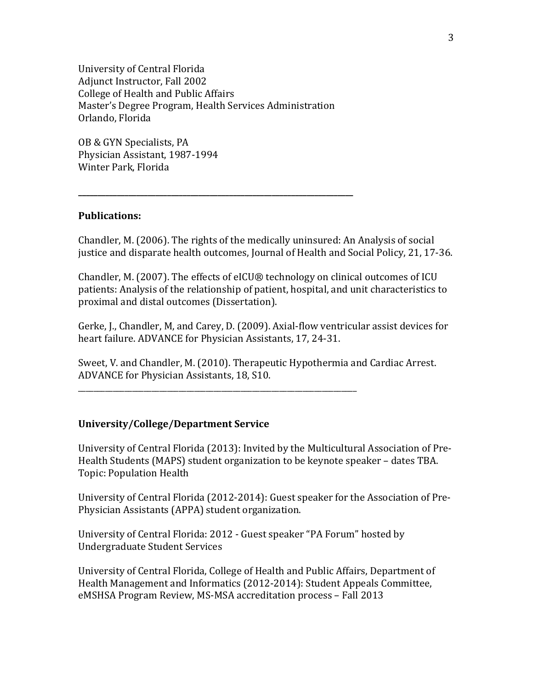University of Central Florida Adjunct Instructor, Fall 2002 College of Health and Public Affairs Master's Degree Program, Health Services Administration Orlando, Florida

**\_\_\_\_\_\_\_\_\_\_\_\_\_\_\_\_\_\_\_\_\_\_\_\_\_\_\_\_\_\_\_\_\_\_\_\_\_\_\_\_\_\_\_\_\_\_\_\_\_\_\_\_\_\_\_\_\_\_\_\_\_\_\_\_\_\_\_\_\_\_\_**

OB & GYN Specialists, PA Physician Assistant, 1987-1994 Winter Park, Florida

## **Publications:**

Chandler, M. (2006). The rights of the medically uninsured: An Analysis of social justice and disparate health outcomes, Journal of Health and Social Policy, 21, 17-36.

Chandler, M. (2007). The effects of eICU® technology on clinical outcomes of ICU patients: Analysis of the relationship of patient, hospital, and unit characteristics to proximal and distal outcomes (Dissertation).

Gerke, J., Chandler, M, and Carey, D. (2009). Axial-flow ventricular assist devices for heart failure. ADVANCE for Physician Assistants, 17, 24-31.

Sweet, V. and Chandler, M. (2010). Therapeutic Hypothermia and Cardiac Arrest. ADVANCE for Physician Assistants, 18, S10.

## **University/College/Department Service**

\_\_\_\_\_\_\_\_\_\_\_\_\_\_\_\_\_\_\_\_\_\_\_\_\_\_\_\_\_\_\_\_\_\_\_\_\_\_\_\_\_\_\_\_\_\_\_\_\_\_\_\_\_\_\_\_\_\_\_\_\_\_\_\_\_\_\_\_\_\_\_\_

University of Central Florida (2013): Invited by the Multicultural Association of Pre-Health Students (MAPS) student organization to be keynote speaker – dates TBA. Topic: Population Health

University of Central Florida (2012-2014): Guest speaker for the Association of Pre-Physician Assistants (APPA) student organization.

University of Central Florida: 2012 - Guest speaker "PA Forum" hosted by Undergraduate Student Services

University of Central Florida, College of Health and Public Affairs, Department of Health Management and Informatics (2012-2014): Student Appeals Committee, eMSHSA Program Review, MS-MSA accreditation process – Fall 2013